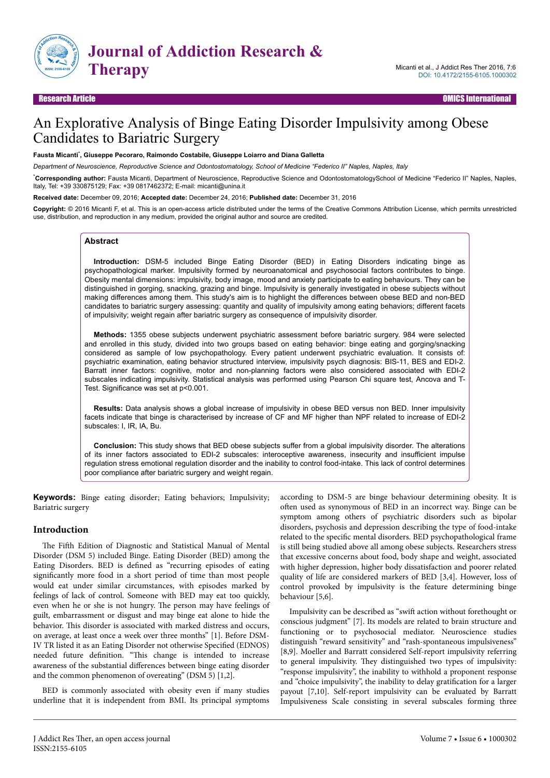

# An Explorative Analysis of Binge Eating Disorder Impulsivity among Obese Candidates to Bariatric Surgery

#### **Fausta Micanti**\* **, Giuseppe Pecoraro, Raimondo Costabile, Giuseppe Loiarro and Diana Galletta**

*Department of Neuroscience, Reproductive Science and Odontostomatology, School of Medicine "Federico II" Naples, Naples, Italy*

\***Corresponding author:** Fausta Micanti, Department of Neuroscience, Reproductive Science and OdontostomatologySchool of Medicine "Federico II" Naples, Naples, Italy, Tel: +39 330875129; Fax: +39 0817462372; E-mail: micanti@unina.it

**Received date:** December 09, 2016; **Accepted date:** December 24, 2016; **Published date:** December 31, 2016

**Copyright:** © 2016 Micanti F, et al. This is an open-access article distributed under the terms of the Creative Commons Attribution License, which permits unrestricted use, distribution, and reproduction in any medium, provided the original author and source are credited.

#### **Abstract**

**Introduction:** DSM-5 included Binge Eating Disorder (BED) in Eating Disorders indicating binge as psychopathological marker. Impulsivity formed by neuroanatomical and psychosocial factors contributes to binge. Obesity mental dimensions: impulsivity, body image, mood and anxiety participate to eating behaviours. They can be distinguished in gorging, snacking, grazing and binge. Impulsivity is generally investigated in obese subjects without making differences among them. This study's aim is to highlight the differences between obese BED and non-BED candidates to bariatric surgery assessing: quantity and quality of impulsivity among eating behaviors; different facets of impulsivity; weight regain after bariatric surgery as consequence of impulsivity disorder.

**Methods:** 1355 obese subjects underwent psychiatric assessment before bariatric surgery. 984 were selected and enrolled in this study, divided into two groups based on eating behavior: binge eating and gorging/snacking considered as sample of low psychopathology. Every patient underwent psychiatric evaluation. It consists of: psychiatric examination, eating behavior structured interview, impulsivity psych diagnosis: BIS-11, BES and EDI-2. Barratt inner factors: cognitive, motor and non-planning factors were also considered associated with EDI-2 subscales indicating impulsivity. Statistical analysis was performed using Pearson Chi square test, Ancova and T-Test. Significance was set at p<0.001.

**Results:** Data analysis shows a global increase of impulsivity in obese BED versus non BED. Inner impulsivity facets indicate that binge is characterised by increase of CF and MF higher than NPF related to increase of EDI-2 subscales: I, IR, IA, Bu.

**Conclusion:** This study shows that BED obese subjects suffer from a global impulsivity disorder. The alterations of its inner factors associated to EDI-2 subscales: interoceptive awareness, insecurity and insufficient impulse regulation stress emotional regulation disorder and the inability to control food-intake. This lack of control determines poor compliance after bariatric surgery and weight regain.

**Keywords:** Binge eating disorder; Eating behaviors; Impulsivity; Bariatric surgery

#### **Introduction**

The Fifth Edition of Diagnostic and Statistical Manual of Mental Disorder (DSM 5) included Binge. Eating Disorder (BED) among the Eating Disorders. BED is defined as "recurring episodes of eating significantly more food in a short period of time than most people would eat under similar circumstances, with episodes marked by feelings of lack of control. Someone with BED may eat too quickly, even when he or she is not hungry. Нe person may have feelings of guilt, embarrassment or disgust and may binge eat alone to hide the behavior. This disorder is associated with marked distress and occurs, on average, at least once a week over three months" [1]. Before DSM-IV TR listed it as an Eating Disorder not otherwise 6pecified (EDNOS) needed future definition. "This change is intended to increase awareness of the substantial differences between binge eating disorder and the common phenomenon of overeating" (DSM 5) [1,2].

BED is commonly associated with obesity even if many studies underline that it is independent from BMI. Its principal symptoms according to DSM-5 are binge behaviour determining obesity. It is often used as synonymous of BED in an incorrect way. Binge can be symptom among others of psychiatric disorders such as bipolar disorders, psychosis and depression describing the type of food-intake related to the specific mental disorders. BED psychopathological frame is still being studied above all among obese subjects. Researchers stress that excessive concerns about food, body shape and weight, associated with higher depression, higher body dissatisfaction and poorer related quality of life are considered markers of BED [3,4]. However, loss of control provoked by impulsivity is the feature determining binge behaviour [5,6].

Impulsivity can be described as "swift action without forethought or conscious judgment" [7]. Its models are related to brain structure and functioning or to psychosocial mediator. Neuroscience studies distinguish "reward sensitivity" and "rash-spontaneous impulsiveness" [8,9]. Moeller and Barratt considered Self-report impulsivity referring to general impulsivity. They distinguished two types of impulsivity: "response impulsivity", the inability to withhold a proponent response and "choice impulsivity", the inability to delay gratification for a larger payout [7,10]. Self-report impulsivity can be evaluated by Barratt Impulsiveness Scale consisting in several subscales forming three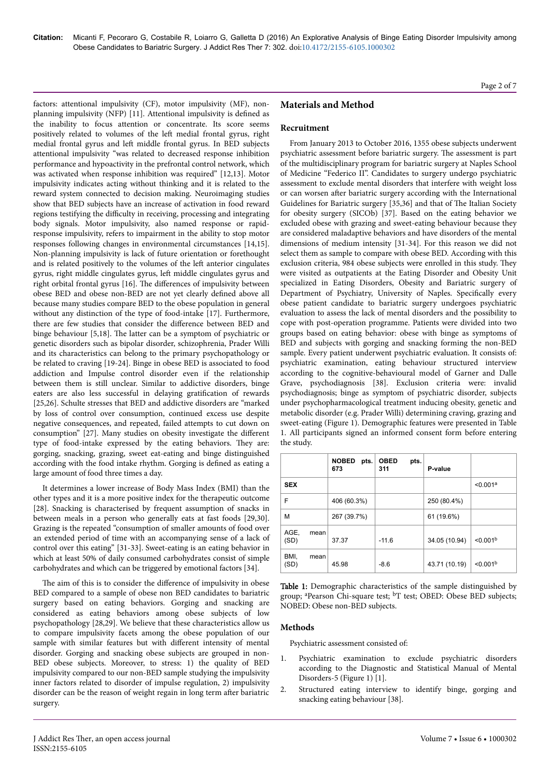factors: attentional impulsivity (CF), motor impulsivity (MF), nonplanning impulsivity (NFP) [11]. Attentional impulsivity is defined as the inability to focus attention or concentrate. Its score seems positively related to volumes of the left medial frontal gyrus, right medial frontal gyrus and left middle frontal gyrus. In BED subjects attentional impulsivity "was related to decreased response inhibition performance and hypoactivity in the prefrontal control network, which was activated when response inhibition was required" [12,13]. Motor impulsivity indicates acting without thinking and it is related to the reward system connected to decision making. Neuroimaging studies show that BED subjects have an increase of activation in food reward regions testifying the difficulty in receiving, processing and integrating body signals. Motor impulsivity, also named response or rapidresponse impulsivity, refers to impairment in the ability to stop motor responses following changes in environmental circumstances [14,15]. Non-planning impulsivity is lack of future orientation or forethought and is related positively to the volumes of the left anterior cingulates gyrus, right middle cingulates gyrus, left middle cingulates gyrus and right orbital frontal gyrus [16]. The differences of impulsivity between obese BED and obese non-BED are not yet clearly defined above all because many studies compare BED to the obese population in general without any distinction of the type of food-intake [17]. Furthermore, there are few studies that consider the difference between BED and binge behaviour [5,18]. Нe latter can be a symptom of psychiatric or genetic disorders such as bipolar disorder, schizophrenia, Prader Willi and its characteristics can belong to the primary psychopathology or be related to craving [19-24]. Binge in obese BED is associated to food addiction and Impulse control disorder even if the relationship between them is still unclear. Similar to addictive disorders, binge eaters are also less successful in delaying gratification of rewards [25,26]. Schulte stresses that BED and addictive disorders are "marked by loss of control over consumption, continued excess use despite negative consequences, and repeated, failed attempts to cut down on consumption" [27]. Many studies on obesity investigate the different type of food-intake expressed by the eating behaviors. They are: gorging, snacking, grazing, sweet eat-eating and binge distinguished according with the food intake rhythm. Gorging is defined as eating a large amount of food three times a day.

It determines a lower increase of Body Mass Index (BMI) than the other types and it is a more positive index for the therapeutic outcome [28]. Snacking is characterised by frequent assumption of snacks in between meals in a person who generally eats at fast foods [29,30]. Grazing is the repeated "consumption of smaller amounts of food over an extended period of time with an accompanying sense of a lack of control over this eating'' [31-33]. Sweet-eating is an eating behavior in which at least 50% of daily consumed carbohydrates consist of simple carbohydrates and which can be triggered by emotional factors [34].

The aim of this is to consider the difference of impulsivity in obese BED compared to a sample of obese non BED candidates to bariatric surgery based on eating behaviors. Gorging and snacking are considered as eating behaviors among obese subjects of low psychopathology [28,29]. We believe that these characteristics allow us to compare impulsivity facets among the obese population of our sample with similar features but with different intensity of mental disorder. Gorging and snacking obese subjects are grouped in non-BED obese subjects. Moreover, to stress: 1) the quality of BED impulsivity compared to our non-BED sample studying the impulsivity inner factors related to disorder of impulse regulation, 2) impulsivity disorder can be the reason of weight regain in long term after bariatric surgery.

#### **Materials and Method**

#### **Recruitment**

From January 2013 to October 2016, 1355 obese subjects underwent psychiatric assessment before bariatric surgery. Нe assessment is part of the multidisciplinary program for bariatric surgery at Naples School of Medicine ''Federico II". Candidates to surgery undergo psychiatric assessment to exclude mental disorders that interfere with weight loss or can worsen after bariatric surgery according with the International Guidelines for Bariatric surgery [35,36] and that of The Italian Society for obesity surgery (SICOb) [37]. Based on the eating behavior we excluded obese with grazing and sweet-eating behaviour because they are considered maladaptive behaviors and have disorders of the mental dimensions of medium intensity [31-34]. For this reason we did not select them as sample to compare with obese BED. According with this exclusion criteria, 984 obese subjects were enrolled in this study. They were visited as outpatients at the Eating Disorder and Obesity Unit specialized in Eating Disorders, Obesity and Bariatric surgery of Department of Psychiatry, University of Naples. Specifically every obese patient candidate to bariatric surgery undergoes psychiatric evaluation to assess the lack of mental disorders and the possibility to cope with post-operation programme. Patients were divided into two groups based on eating behavior: obese with binge as symptoms of BED and subjects with gorging and snacking forming the non-BED sample. Every patient underwent psychiatric evaluation. It consists of: psychiatric examination, eating behaviour structured interview according to the cognitive-behavioural model of Garner and Dalle Grave, psychodiagnosis [38]. Exclusion criteria were: invalid psychodiagnosis; binge as symptom of psychiatric disorder, subjects under psychopharmacological treatment inducing obesity, genetic and metabolic disorder (e.g. Prader Willi) determining craving, grazing and sweet-eating (Figure 1). Demographic features were presented in Table 1. All participants signed an informed consent form before entering the study.

|                      | <b>NOBED</b><br>pts.<br>673 | <b>OBED</b><br>pts.<br>311 | P-value       |                      |
|----------------------|-----------------------------|----------------------------|---------------|----------------------|
| <b>SEX</b>           |                             |                            |               | < 0.001 <sup>a</sup> |
| F                    | 406 (60.3%)                 |                            | 250 (80.4%)   |                      |
| M                    | 267 (39.7%)                 |                            | 61 (19.6%)    |                      |
| AGE,<br>mean<br>(SD) | 37.37                       | $-11.6$                    | 34.05 (10.94) | < 0.001 <sup>b</sup> |
| BMI,<br>mean<br>(SD) | 45.98                       | $-8.6$                     | 43.71 (10.19) | < 0.001 <sup>b</sup> |

Table 1: Demographic characteristics of the sample distinguished by group; <sup>a</sup>Pearson Chi-square test; <sup>b</sup>T test; OBED: Obese BED subjects; NOBED: Obese non-BED subjects.

#### **Methods**

Psychiatric assessment consisted of:

- Psychiatric examination to exclude psychiatric disorders according to the Diagnostic and Statistical Manual of Mental Disorders-5 (Figure 1) [1].
- 2. Structured eating interview to identify binge, gorging and snacking eating behaviour [38].

ISSN:2155-6105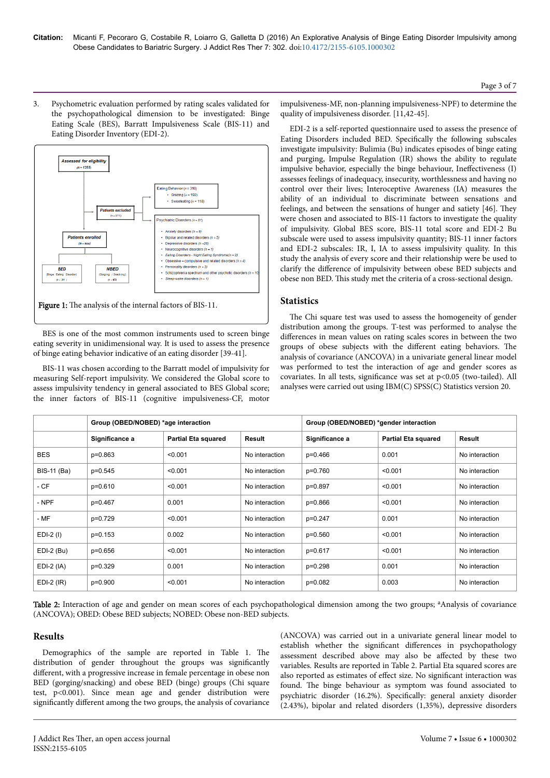Page 3 of 7

3. Psychometric evaluation performed by rating scales validated for the psychopathological dimension to be investigated: Binge Eating Scale (BES), Barratt Impulsiveness Scale (BIS-11) and Eating Disorder Inventory (EDI-2).



BES is one of the most common instruments used to screen binge eating severity in unidimensional way. It is used to assess the presence of binge eating behavior indicative of an eating disorder [39-41].

BIS-11 was chosen according to the Barratt model of impulsivity for measuring Self-report impulsivity. We considered the Global score to assess impulsivity tendency in general associated to BES Global score; the inner factors of BIS-11 (cognitive impulsiveness-CF, motor

impulsiveness-MF, non-planning impulsiveness-NPF) to determine the quality of impulsiveness disorder. [11,42-45].

EDI-2 is a self-reported questionnaire used to assess the presence of Eating Disorders included BED. Specifically the following subscales investigate impulsivity: Bulimia (Bu) indicates episodes of binge eating and purging, Impulse Regulation (IR) shows the ability to regulate impulsive behavior, especially the binge behaviour, Ineffectiveness (I) assesses feelings of inadequacy, insecurity, worthlessness and having no control over their lives; Interoceptive Awareness (IA) measures the ability of an individual to discriminate between sensations and feelings, and between the sensations of hunger and satiety [46]. They were chosen and associated to BIS-11 factors to investigate the quality of impulsivity. Global BES score, BIS-11 total score and EDI-2 Bu subscale were used to assess impulsivity quantity; BIS-11 inner factors and EDI-2 subscales: IR, I, IA to assess impulsivity quality. In this study the analysis of every score and their relationship were be used to clarify the difference of impulsivity between obese BED subjects and obese non BED. Нis study met the criteria of a cross-sectional design.

# **Statistics**

The Chi square test was used to assess the homogeneity of gender distribution among the groups. T-test was performed to analyse the differences in mean values on rating scales scores in between the two groups of obese subjects with the different eating behaviors. The analysis of covariance (ANCOVA) in a univariate general linear model was performed to test the interaction of age and gender scores as covariates. In all tests, significance was set at  $p<0.05$  (two-tailed). All analyses were carried out using IBM(C) SPSS(C) Statistics version 20.

|                    | Group (OBED/NOBED) *age interaction |                            |                | Group (OBED/NOBED) *gender interaction |                            |                |
|--------------------|-------------------------------------|----------------------------|----------------|----------------------------------------|----------------------------|----------------|
|                    | Significance a                      | <b>Partial Eta squared</b> | <b>Result</b>  | Significance a                         | <b>Partial Eta squared</b> | Result         |
| <b>BES</b>         | $p=0.863$                           | < 0.001                    | No interaction | p=0.466                                | 0.001                      | No interaction |
| <b>BIS-11 (Ba)</b> | $p=0.545$                           | < 0.001                    | No interaction | p=0.760                                | < 0.001                    | No interaction |
| $-CF$              | $p=0.610$                           | < 0.001                    | No interaction | p=0.897                                | < 0.001                    | No interaction |
| - NPF              | p=0.467                             | 0.001                      | No interaction | p=0.866                                | < 0.001                    | No interaction |
| $-MF$              | $p=0.729$                           | < 0.001                    | No interaction | p=0.247                                | 0.001                      | No interaction |
| $EDI-2$ (I)        | $p=0.153$                           | 0.002                      | No interaction | $p=0.560$                              | < 0.001                    | No interaction |
| $EDI-2$ (Bu)       | p=0.656                             | < 0.001                    | No interaction | p=0.617                                | < 0.001                    | No interaction |
| $EDI-2$ (IA)       | $p=0.329$                           | 0.001                      | No interaction | p=0.298                                | 0.001                      | No interaction |
| $EDI-2$ ( $IR$ )   | $p=0.900$                           | < 0.001                    | No interaction | p=0.082                                | 0.003                      | No interaction |

Table 2: Interaction of age and gender on mean scores of each psychopathological dimension among the two groups; <sup>a</sup>Analysis of covariance (ANCOVA); OBED: Obese BED subjects; NOBED: Obese non-BED subjects.

# **Results**

Demographics of the sample are reported in Table 1. Нe  $distribution$  of gender throughout the groups was significantly different, with a progressive increase in female percentage in obese non BED (gorging/snacking) and obese BED (binge) groups (Chi square test, p<0.001). Since mean age and gender distribution were significantly different among the two groups, the analysis of covariance (ANCOVA) was carried out in a univariate general linear model to establish whether the significant differences in psychopathology assessment described above may also be affected by these two variables. Results are reported in Table 2. Partial Eta squared scores are also reported as estimates of effect size. No significant interaction was found. Нe binge behaviour as symptom was found associated to psychiatric disorder (16.2%). Specifically: general anxiety disorder (2.43%), bipolar and related disorders (1,35%), depressive disorders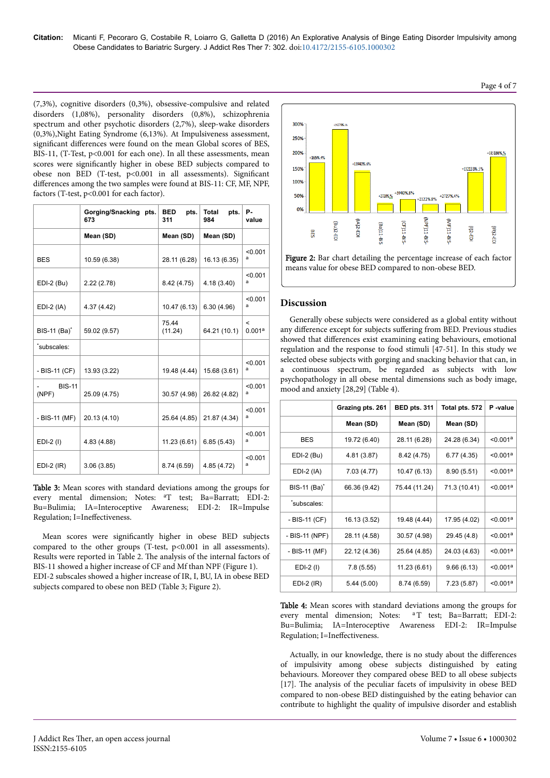(7,3%), cognitive disorders (0,3%), obsessive-compulsive and related disorders (1,08%), personality disorders (0,8%), schizophrenia spectrum and other psychotic disorders (2,7%), sleep-wake disorders (0,3%),Night Eating Syndrome (6,13%). At Impulsiveness assessment, significant differences were found on the mean Global scores of BES, BIS-11, (T-Test, p<0.001 for each one). In all these assessments, mean scores were significantly higher in obese BED subjects compared to obese non BED (T-test, p<0.001 in all assessments). Significant differences among the two samples were found at BIS-11: CF, MF, NPF, factors (T-test, p<0.001 for each factor).

|                          | Gorging/Snacking pts.<br>673 | <b>BED</b><br>pts.<br>311 | Total<br>pts.<br>984 | Р.<br>value                                    |
|--------------------------|------------------------------|---------------------------|----------------------|------------------------------------------------|
|                          | Mean (SD)                    | Mean (SD)                 | Mean (SD)            |                                                |
| <b>BES</b>               | 10.59 (6.38)                 | 28.11 (6.28)              | 16.13 (6.35)         | < 0.001<br>a                                   |
| EDI-2 (Bu)               | 2.22(2.78)                   | 8.42 (4.75)               | 4.18 (3.40)          | < 0.001<br>a                                   |
| $EDI-2$ (IA)             | 4.37 (4.42)                  | 10.47 (6.13)              | 6.30(4.96)           | < 0.001<br>a                                   |
| BIS-11 (Ba) <sup>*</sup> | 59.02 (9.57)                 | 75.44<br>(11.24)          | 64.21 (10.1)         | $\overline{\phantom{a}}$<br>0.001 <sup>a</sup> |
| *subscales:              |                              |                           |                      |                                                |
| - BIS-11 (CF)            | 13.93 (3.22)                 | 19.48 (4.44)              | 15.68 (3.61)         | < 0.001<br>а                                   |
| <b>BIS-11</b><br>(NPF)   | 25.09 (4.75)                 | 30.57 (4.98)              | 26.82 (4.82)         | < 0.001<br>a                                   |
| - BIS-11 (MF)            | 20.13 (4.10)                 | 25.64 (4.85)              | 21.87 (4.34)         | < 0.001<br>a                                   |
| $EDI-2$ (I)              | 4.83 (4.88)                  | 11.23 (6.61)              | 6.85(5.43)           | < 0.001<br>а                                   |
| $EDI-2$ (IR)             | 3.06(3.85)                   | 8.74 (6.59)               | 4.85 (4.72)          | < 0.001<br>a                                   |

Table 3: Mean scores with standard deviations among the groups for every mental dimension; Notes: aT test; Ba=Barratt; EDI-2: Bu=Bulimia; IA=Interoceptive Awareness; EDI-2: IR=Impulse Regulation; I=Ineffectiveness.

Mean scores were significantly higher in obese BED subjects compared to the other groups (T-test, p<0.001 in all assessments). Results were reported in Table 2. Нe analysis of the internal factors of BIS-11 showed a higher increase of CF and Mf than NPF (Figure 1). EDI-2 subscales showed a higher increase of IR, I, BU, IA in obese BED subjects compared to obese non BED (Table 3; Figure 2).



# **Discussion**

Generally obese subjects were considered as a global entity without any difference except for subjects suffering from BED. Previous studies showed that differences exist examining eating behaviours, emotional regulation and the response to food stimuli [47-51]. In this study we selected obese subjects with gorging and snacking behavior that can, in a continuous spectrum, be regarded as subjects with low psychopathology in all obese mental dimensions such as body image, mood and anxiety [28,29] (Table 4).

|                          | Grazing pts. 261 | <b>BED pts. 311</b> | Total pts. 572 | P -value             |
|--------------------------|------------------|---------------------|----------------|----------------------|
|                          | Mean (SD)        | Mean (SD)           | Mean (SD)      |                      |
| <b>BES</b>               | 19.72 (6.40)     | 28.11 (6.28)        | 24.28 (6.34)   | < 0.001a             |
| $EDI-2$ (Bu)             | 4.81 (3.87)      | 8.42 (4.75)         | 6.77(4.35)     | < 0.001a             |
| $EDI-2$ (IA)             | 7.03 (4.77)      | 10.47 (6.13)        | 8.90(5.51)     | < 0.001 <sup>a</sup> |
| BIS-11 (Ba) <sup>*</sup> | 66.36 (9.42)     | 75.44 (11.24)       | 71.3 (10.41)   | < 0.001a             |
| subscales:               |                  |                     |                |                      |
| - BIS-11 (CF)            | 16.13 (3.52)     | 19.48 (4.44)        | 17.95 (4.02)   | $0.001a$             |
| - BIS-11 (NPF)           | 28.11 (4.58)     | 30.57 (4.98)        | 29.45 (4.8)    | < 0.001a             |
| - BIS-11 (MF)            | 22.12 (4.36)     | 25.64 (4.85)        | 24.03 (4.63)   | < 0.001a             |
| $EDI-2$ (I)              | 7.8(5.55)        | 11.23 (6.61)        | 9.66(6.13)     | < 0.001a             |
| $EDI-2$ (IR)             | 5.44(5.00)       | 8.74 (6.59)         | 7.23 (5.87)    | $0.001a$             |

Table 4: Mean scores with standard deviations among the groups for every mental dimension; Notes: <sup>a</sup>T test; Ba=Barratt; EDI-2: Bu=Bulimia; IA=Interoceptive Awareness EDI-2: IR=Impulse Regulation; I=Ineffectiveness.

Actually, in our knowledge, there is no study about the differences of impulsivity among obese subjects distinguished by eating behaviours. Moreover they compared obese BED to all obese subjects [17]. The analysis of the peculiar facets of impulsivity in obese BED compared to non-obese BED distinguished by the eating behavior can contribute to highlight the quality of impulsive disorder and establish

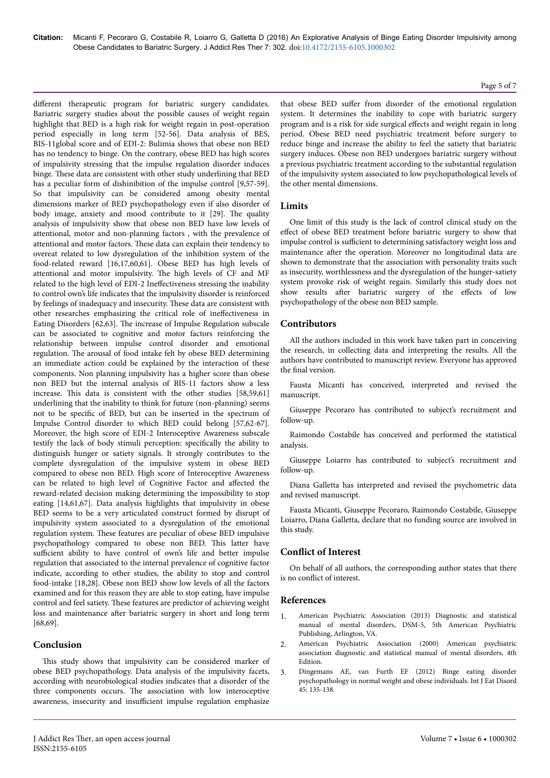Page 5 of 7

different therapeutic program for bariatric surgery candidates. Bariatric surgery studies about the possible causes of weight regain highlight that BED is a high risk for weight regain in post-operation period especially in long term [52-56]. Data analysis of BES, BIS-11global score and of EDI-2: Bulimia shows that obese non BED has no tendency to binge. On the contrary, obese BED has high scores of impulsivity stressing that the impulse regulation disorder induces binge. Нese data are consistent with other study underlining that BED has a peculiar form of dishinibition of the impulse control [9,57-59]. So that impulsivity can be considered among obesity mental dimensions marker of BED psychopathology even if also disorder of body image, anxiety and mood contribute to it [29]. The quality analysis of impulsivity show that obese non BED have low levels of attentional, motor and non-planning factors , with the prevalence of attentional and motor factors. Нese data can explain their tendency to overeat related to low dysregulation of the inhibition system of the food-related reward [16,17,60,61]. Obese BED has high levels of attentional and motor impulsivity. Нe high levels of CF and MF related to the high level of EDI-2 Ineffectiveness stressing the inability to control own's life indicates that the impulsivity disorder is reinforced by feelings of inadequacy and insecurity. Нese data are consistent with other researches emphasizing the critical role of ineffectiveness in Eating Disorders [62,63]. Нe increase of Impulse Regulation subscale can be associated to cognitive and motor factors reinforcing the relationship between impulse control disorder and emotional regulation. Нe arousal of food intake felt by obese BED determining an immediate action could be explained by the interaction of these components. Non planning impulsivity has a higher score than obese non BED but the internal analysis of BIS-11 factors show a less increase. Нis data is consistent with the other studies [58,59,61] underlining that the inability to think for future (non-planning) seems not to be specific of BED, but can be inserted in the spectrum of Impulse Control disorder to which BED could belong [57,62-67]. Moreover, the high score of EDI-2 Interoceptive Awareness subscale testify the lack of body stimuli perception: specifically the ability to distinguish hunger or satiety signals. It strongly contributes to the complete dysregulation of the impulsive system in obese BED compared to obese non BED. High score of Interoceptive Awareness can be related to high level of Cognitive Factor and affected the reward-related decision making determining the impossibility to stop eating [14,61,67]. Data analysis highlights that impulsivity in obese BED seems to be a very articulated construct formed by disrupt of impulsivity system associated to a dysregulation of the emotional regulation system. Нese features are peculiar of obese BED impulsive psychopathology compared to obese non BED. Нis latter have sufficient ability to have control of own's life and better impulse regulation that associated to the internal prevalence of cognitive factor indicate, according to other studies, the ability to stop and control food-intake [18,28]. Obese non BED show low levels of all the factors examined and for this reason they are able to stop eating, have impulse control and feel satiety. Нese features are predictor of achieving weight loss and maintenance after bariatric surgery in short and long term [68,69].

# **Conclusion**

This study shows that impulsivity can be considered marker of obese BED psychopathology. Data analysis of the impulsivity facets, according with neurobiological studies indicates that a disorder of the three components occurs. Нe association with low interoceptive awareness, insecurity and insufficient impulse regulation emphasize that obese BED suffer from disorder of the emotional regulation system. It determines the inability to cope with bariatric surgery program and is a risk for side surgical effects and weight regain in long period. Obese BED need psychiatric treatment before surgery to reduce binge and increase the ability to feel the satiety that bariatric surgery induces. Obese non BED undergoes bariatric surgery without a previous psychiatric treatment according to the substantial regulation of the impulsivity system associated to low psychopathological levels of the other mental dimensions.

#### **Limits**

One limit of this study is the lack of control clinical study on the effect of obese BED treatment before bariatric surgery to show that impulse control is sufficient to determining satisfactory weight loss and maintenance after the operation. Moreover no longitudinal data are shown to demonstrate that the association with personality traits such as insecurity, worthlessness and the dysregulation of the hunger-satiety system provoke risk of weight regain. Similarly this study does not show results after bariatric surgery of the effects of low psychopathology of the obese non BED sample.

# **Contributors**

All the authors included in this work have taken part in conceiving the research, in collecting data and interpreting the results. All the authors have contributed to manuscript review. Everyone has approved the final version.

Fausta Micanti has conceived, interpreted and revised the manuscript.

Giuseppe Pecoraro has contributed to subject's recruitment and follow-up.

Raimondo Costabile has conceived and performed the statistical analysis.

Giuseppe Loiarro has contributed to subject's recruitment and follow-up.

Diana Galletta has interpreted and revised the psychometric data and revised manuscript.

Fausta Micanti, Giuseppe Pecoraro, Raimondo Costabile, Giuseppe Loiarro, Diana Galletta, declare that no funding source are involved in this study.

# **Conflict of Interest**

On behalf of all authors, the corresponding author states that there is no conflict of interest.

#### **References**

- 1. American Psychiatric Association (2013) Diagnostic and statistical manual of mental disorders, DSM-5, 5th American Psychiatric Publishing, Arlington, VA.
- 2. American Psychiatric Association (2000) American psychiatric association diagnostic and statistical manual of mental disorders, 4th Edition.
- 3. [Dingemans AE, van Furth EF \(2012\) Binge eating disorder](http://dx.doi.org/10.1002/eat.20905) [psychopathology in normal weight and obese individuals. Int J Eat Disord](http://dx.doi.org/10.1002/eat.20905) [45: 135-138.](http://dx.doi.org/10.1002/eat.20905)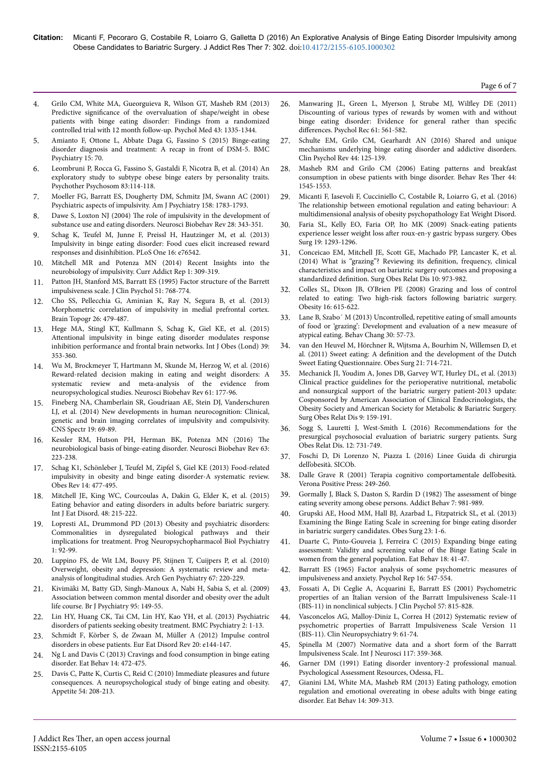Page 6 of 7

- 4. [Grilo CM, White MA, Gueorguieva R, Wilson GT, Masheb RM \(2013\)](https://dx.doi.org/10.1017/S0033291712002097) Predictive significance [of the overvaluation of shape/weight in obese](https://dx.doi.org/10.1017/S0033291712002097) [patients with binge eating disorder: Findings from a randomized](https://dx.doi.org/10.1017/S0033291712002097) [controlled trial with 12 month follow-up. Psychol Med 43: 1335-1344](https://dx.doi.org/10.1017/S0033291712002097).
- 5. [Amianto F, Ottone L, Abbate Daga G, Fassino S \(2015\) Binge-eating](https://dx.doi.org/10.1186/s12888-015-0445-6) [disorder diagnosis and treatment: A recap in front of DSM-5. BMC](https://dx.doi.org/10.1186/s12888-015-0445-6) [Psychiatry 15: 70.](https://dx.doi.org/10.1186/s12888-015-0445-6)
- 6. [Leombruni P, Rocca G, Fassino S, Gastaldi F, Nicotra B, et al. \(2014\) An](https://dx.doi.org/10.1159/000356810) [exploratory study to subtype obese binge eaters by personality traits.](https://dx.doi.org/10.1159/000356810) [Psychother Psychosom 83:114-118.](https://dx.doi.org/10.1159/000356810)
- 7. [Moeller FG, Barratt ES, Dougherty DM, Schmitz JM, Swann AC \(2001\)](http://dx.doi.org/10.1176/appi.ajp.158.11.1783) [Psychiatric aspects of impulsivity. Am J Psychiatry 158: 1783-1793.](http://dx.doi.org/10.1176/appi.ajp.158.11.1783)
- 8. Dawe S, Loxton NJ (2004) The [role of impulsivity in the development of](https://dx.doi.org/10.1016/j.neubiorev.2004.03.007) [substance use and eating disorders. Neurosci Biobehav Rev 28: 343-351](https://dx.doi.org/10.1016/j.neubiorev.2004.03.007).
- 9. [Schag K, Teufel M, Junne F, Preissl H, Hautzinger M, et al. \(2013\)](https://dx.doi.org/10.1371/journal.pone.0076542) [Impulsivity in binge eating disorder: Food cues elicit increased reward](https://dx.doi.org/10.1371/journal.pone.0076542) [responses and disinhibition. PLoS One 16: e76542.](https://dx.doi.org/10.1371/journal.pone.0076542)
- 10. [Mitchell MR and Potenza MN \(2014\) Recent Insights into the](https://dx.doi.org/10.1007/s40429-014-0037-4) [neurobiology of impulsivity. Curr Addict Rep 1: 309-319.](https://dx.doi.org/10.1007/s40429-014-0037-4)
- 11. [Patton JH, Stanford MS, Barratt ES \(1995\) Factor structure of the Barrett](https://dx.doi.org/10.1002/1097-4679(199511)51:6%3c768::AID-JCLP2270510607%3e3.0.CO;2-1) [impulsiveness scale. J Clin Psychol 51: 768-774.](https://dx.doi.org/10.1002/1097-4679(199511)51:6%3c768::AID-JCLP2270510607%3e3.0.CO;2-1)
- 12. [Cho SS, Pellecchia G, Aminian K, Ray N, Segura B, et al. \(2013\)](https://dx.doi.org/10.1007/s10548-012-0270-x) [Morphometric correlation of impulsivity in medial prefrontal cortex.](https://dx.doi.org/10.1007/s10548-012-0270-x) [Brain Topogr 26: 479-487.](https://dx.doi.org/10.1007/s10548-012-0270-x)
- 13. [Hege MA, Stingl KT, Kullmann S, Schag K, Giel KE, et al. \(2015\)](https://dx.doi.org/10.1038/ijo.2014.99) [Attentional impulsivity in binge eating disorder modulates response](https://dx.doi.org/10.1038/ijo.2014.99) [inhibition performance and frontal brain networks. Int J Obes \(Lond\) 39:](https://dx.doi.org/10.1038/ijo.2014.99) [353-360.](https://dx.doi.org/10.1038/ijo.2014.99)
- 14. [Wu M, Brockmeyer T, Hartmann M, Skunde M, Herzog W, et al. \(2016\)](https://dx.doi.org/10.1016/j.neubiorev.2015.11.017) [Reward-related decision making in eating and weight disorders: A](https://dx.doi.org/10.1016/j.neubiorev.2015.11.017) [systematic review and meta-analysis of the evidence from](https://dx.doi.org/10.1016/j.neubiorev.2015.11.017) [neuropsychological studies. Neurosci Biobehav Rev 61: 177-96.](https://dx.doi.org/10.1016/j.neubiorev.2015.11.017)
- 15. [Fineberg NA, Chamberlain SR, Goudriaan AE, Stein DJ, Vanderschuren](https://dx.doi.org/10.1017/S1092852913000801) [LJ, et al. \(2014\) New developments in human neurocognition: Clinical,](https://dx.doi.org/10.1017/S1092852913000801) [genetic and brain imaging correlates of impulsivity and compulsivity.](https://dx.doi.org/10.1017/S1092852913000801) [CNS Spectr 19: 69-89.](https://dx.doi.org/10.1017/S1092852913000801)
- 16. [Kessler RM, Hutson PH, Herman BK, Potenza MN \(2016\)](http://dx.doi.org/10.1016/j.neubiorev.2016.01.013) Нe [neurobiological basis of binge-eating disorder. Neurosci Biobehav Rev 63:](http://dx.doi.org/10.1016/j.neubiorev.2016.01.013) [223-238.](http://dx.doi.org/10.1016/j.neubiorev.2016.01.013)
- 17. [Schag K1, Schönleber J, Teufel M, Zipfel S, Giel KE \(2013\) Food-related](http://dx.doi.org/10.1111/obr.12017) [impulsivity in obesity and binge eating disorder-A systematic review.](http://dx.doi.org/10.1111/obr.12017) [Obes Rev 14: 477-495.](http://dx.doi.org/10.1111/obr.12017)
- 18. [Mitchell JE, King WC, Courcoulas A, Dakin G, Elder K, et al. \(2015\)](https://dx.doi.org/10.1002/eat.22275) [Eating behavior and eating disorders in adults before bariatric surgery.](https://dx.doi.org/10.1002/eat.22275) [Int J Eat Disord. 48: 215-222.](https://dx.doi.org/10.1002/eat.22275)
- 19. [Lopresti AL, Drummond PD \(2013\) Obesity and psychiatric disorders:](https://dx.doi.org/10.1016/j.pnpbp.2013.05.005) [Commonalities in dysregulated biological pathways and their](https://dx.doi.org/10.1016/j.pnpbp.2013.05.005) [implications for treatment. Prog Neuropsychopharmacol Biol Psychiatry](https://dx.doi.org/10.1016/j.pnpbp.2013.05.005) [1: 92-99.](https://dx.doi.org/10.1016/j.pnpbp.2013.05.005)
- 20. [Luppino FS, de Wit LM, Bouvy PF, Stijnen T, Cuijpers P, et al. \(2010\)](https://dx.doi.org/10.1001/archgenpsychiatry.2010.2) [Overweight, obesity and depression: A systematic review and meta](https://dx.doi.org/10.1001/archgenpsychiatry.2010.2)[analysis of longitudinal studies. Arch Gen Psychiatry 67: 220-229.](https://dx.doi.org/10.1001/archgenpsychiatry.2010.2)
- 21. [Kivimäki M, Batty GD, Singh-Manoux A, Nabi H, Sabia S, et al. \(2009\)](https://dx.doi.org/10.1192/bjp.bp.108.057299) [Association between common mental disorder and obesity over the adult](https://dx.doi.org/10.1192/bjp.bp.108.057299) [life course. Br J Psychiatry 95: 149-55.](https://dx.doi.org/10.1192/bjp.bp.108.057299)
- 22. [Lin HY, Huang CK, Tai CM, Lin HY, Kao YH, et al. \(2013\) Psychiatric](https://dx.doi.org/10.1186/1471-244X-13-1) [disorders of patients seeking obesity treatment. BMC Psychiatry 2: 1-13.](https://dx.doi.org/10.1186/1471-244X-13-1)
- 23. [Schmidt F, Körber S, de Zwaan M, Müller A \(2012\) Impulse control](https://dx.doi.org/10.1002/erv.2162) [disorders in obese patients. Eur Eat Disord Rev 20: e144-147.](https://dx.doi.org/10.1002/erv.2162)
- 24. Ng L and [Davis C \(2013\) Cravings and food consumption in binge eating](http://dx.doi.org/10.1016/j.eatbeh.2013.08.011) [disorder. Eat Behav 14: 472-475.](http://dx.doi.org/10.1016/j.eatbeh.2013.08.011)
- 25. [Davis C, Patte K, Curtis C, Reid C \(2010\) Immediate pleasures and future](https://dx.doi.org/10.1016/j.appet.2009.11.002) [consequences. A neuropsychological study of binge eating and obesity.](https://dx.doi.org/10.1016/j.appet.2009.11.002) [Appetite 54: 208-213.](https://dx.doi.org/10.1016/j.appet.2009.11.002)
- 26. Manwaring JL, Green L, Myerson J, Strube MJ, Wilfley DE (2011) Discounting of various types of rewards by women with and without binge eating disorder: Evidence for general rather than specific differences. Psychol Rec 61: 561-582.
- 27. [Schulte EM, Grilo CM, Gearhardt AN \(2016\) Shared and unique](http://dx.doi.org/10.1016/j.cpr.2016.02.001) [mechanisms underlying binge eating disorder and addictive disorders.](http://dx.doi.org/10.1016/j.cpr.2016.02.001) [Clin Psychol Rev 44: 125-139.](http://dx.doi.org/10.1016/j.cpr.2016.02.001)
- 28. [Masheb RM and Grilo CM \(2006\) Eating patterns and breakfast](https://doi.org/10.1016/j.brat.2005.10.013) [consumption in obese patients with binge disorder. Behav Res](https://doi.org/10.1016/j.brat.2005.10.013) Ther 44: [1545-1553.](https://doi.org/10.1016/j.brat.2005.10.013)
- 29. [Micanti F, Iasevoli F, Cucciniello C, Costabile R, Loiarro G, et al. \(2016\)](https://doi.org/10.1007/s40519-016-0275-7) The [relationship between emotional regulation and eating behaviour: A](https://doi.org/10.1007/s40519-016-0275-7) [multidimensional analysis of obesity psychopathology Eat Weight Disord.](https://doi.org/10.1007/s40519-016-0275-7)
- 30. [Faria SL, Kelly EO, Faria OP, Ito MK \(2009\) Snack-eating patients](https://doi.org/10.1007/s11695-008-9704-7) experience lesser weight loss after [roux-en-y gastric bypass surgery. Obes](https://doi.org/10.1007/s11695-008-9704-7) [Surg 19: 1293-1296.](https://doi.org/10.1007/s11695-008-9704-7)
- 31. [Conceicao EM, Mitchell JE, Scott GE, Machado PP, Lancaster K, et al.](https://doi.org/10.1016/j.soard.2014.05.002) (2014) What is "grazing"? Reviewing its definition, frequency, clinical [characteristics and impact on bariatric surgery outcomes and proposing a](https://doi.org/10.1016/j.soard.2014.05.002) standardized definition. [Surg Obes Relat Dis 10: 973-982.](https://doi.org/10.1016/j.soard.2014.05.002)
- 32. [Colles SL, Dixon JB, O'Brien PE \(2008\) Grazing and loss of control](https://doi.org/10.1038/oby.2007) [related to eating: Two high-risk factors following bariatric surgery.](https://doi.org/10.1038/oby.2007) [Obesity 16: 615-622.](https://doi.org/10.1038/oby.2007)
- 33. [Lane B, Szabo´ M \(2013\) Uncontrolled, repetitive eating of small amounts](https://doi.org/10.1017/bec.2013.6) [of food or 'grazing': Development and evaluation of a new measure of](https://doi.org/10.1017/bec.2013.6) [atypical eating. Behav Chang 30: 57-73.](https://doi.org/10.1017/bec.2013.6)
- 34. [van den Heuvel M, Hörchner R, Wijtsma A, Bourhim N, Willemsen D, et](https://dx.doi.org/10.1007/s11695-010-0094-2) al. (2011) Sweet eating: A definition [and the development of the Dutch](https://dx.doi.org/10.1007/s11695-010-0094-2) [Sweet Eating Questionnaire. Obes Surg 21: 714-721.](https://dx.doi.org/10.1007/s11695-010-0094-2)
- 35. [Mechanick JI, Youdim A, Jones DB, Garvey WT, Hurley DL, et al. \(2013\)](https://dx.doi.org/10.1002%2Foby.20461) [Clinical practice guidelines for the perioperative nutritional, metabolic](https://dx.doi.org/10.1002%2Foby.20461) [and nonsurgical support of the bariatric surgery patient-2013 update:](https://dx.doi.org/10.1002%2Foby.20461) [Cosponsored by American Association of Clinical Endocrinologists, the](https://dx.doi.org/10.1002%2Foby.20461) [Obesity Society and American Society for Metabolic & Bariatric Surgery.](https://dx.doi.org/10.1002%2Foby.20461) [Surg Obes Relat Dis 9: 159-191.](https://dx.doi.org/10.1002%2Foby.20461)
- 36. [Sogg S, Lauretti J, West-Smith L \(2016\) Recommendations for the](https://dx.doi.org/10.1016/j.soard.2016.02.008) [presurgical psychosocial evaluation of bariatric surgery patients. Surg](https://dx.doi.org/10.1016/j.soard.2016.02.008) [Obes Relat Dis. 12: 731-749.](https://dx.doi.org/10.1016/j.soard.2016.02.008)
- 37. Foschi D, Di Lorenzo N, Piazza L (2016) Linee Guida di chirurgia dell'obesità. SICOb.
- 38. Dalle Grave R (2001) Terapia cognitivo comportamentale dell'obesità. Verona Positive Press: 249-260.
- 39. [Gormally J, Black S, Daston S, Rardin D \(1982\)](https://dx.doi.org/10.1016/0306-4603(82)90024-7) Нe assessment of binge [eating severity among obese persons. Addict Behav 7: 981-989.](https://dx.doi.org/10.1016/0306-4603(82)90024-7)
- 40. [Grupski AE, Hood MM, Hall BJ, Azarbad L, Fitzpatrick SL, et al. \(2013\)](https://dx.doi.org/10.1007/s11695-011-0537-4) [Examining the Binge Eating Scale in screening for binge eating disorder](https://dx.doi.org/10.1007/s11695-011-0537-4) [in bariatric surgery candidates. Obes Surg 23: 1-6.](https://dx.doi.org/10.1007/s11695-011-0537-4)
- 41. [Duarte C, Pinto-Gouveia J, Ferreira C \(2015\) Expanding binge eating](https://dx.doi.org/10.1016/j.eatbeh.2015.03.007) [assessment: Validity and screening value of the Binge Eating Scale in](https://dx.doi.org/10.1016/j.eatbeh.2015.03.007) [women from the general population. Eat Behav 18: 41-47.](https://dx.doi.org/10.1016/j.eatbeh.2015.03.007)
- 42. [Barratt ES \(1965\) Factor analysis of some psychometric measures of](http://dx.doi.org/10.2466/pr0.1965.16.2.547) [impulsiveness and anxiety. Psychol Rep 16: 547-554.](http://dx.doi.org/10.2466/pr0.1965.16.2.547)
- 43. [Fossati A, Di Ceglie A, Acquarini E, Barratt ES \(2001\) Psychometric](https://dx.doi.org/10.1002/jclp.1051) [properties of an Italian version of the Barratt Impulsiveness Scale-11](https://dx.doi.org/10.1002/jclp.1051) [\(BIS-11\) in nonclinical subjects. J Clin Psychol 57: 815-828.](https://dx.doi.org/10.1002/jclp.1051)
- 44. [Vasconcelos AG, Malloy-Diniz L, Correa H \(2012\) Systematic review of](https://dx.doi.org/10.1037%2Fa0032161) [psychometric properties of Barratt Impulsiveness Scale Version 11](https://dx.doi.org/10.1037%2Fa0032161) [\(BIS-11\). Clin Neuropsychiatry 9: 61-74.](https://dx.doi.org/10.1037%2Fa0032161)
- 45. [Spinella M \(2007\) Normative data and a short form of the Barratt](http://dx.doi.org/10.1080/00207450600588881) [Impulsiveness Scale. Int J Neurosci 117: 359-368.](http://dx.doi.org/10.1080/00207450600588881)
- 46. Garner DM (1991) Eating disorder inventory-2 professional manual. Psychological Assessment Resources, Odessa, FL.
- 47. [Gianini LM, White MA, Masheb RM \(2013\) Eating pathology, emotion](https://dx.doi.org/10.%201016/j.eatbeh.2013.05.008) [regulation and emotional overeating in obese adults with binge eating](https://dx.doi.org/10.%201016/j.eatbeh.2013.05.008) [disorder. Eat Behav 14: 309-313.](https://dx.doi.org/10.%201016/j.eatbeh.2013.05.008)